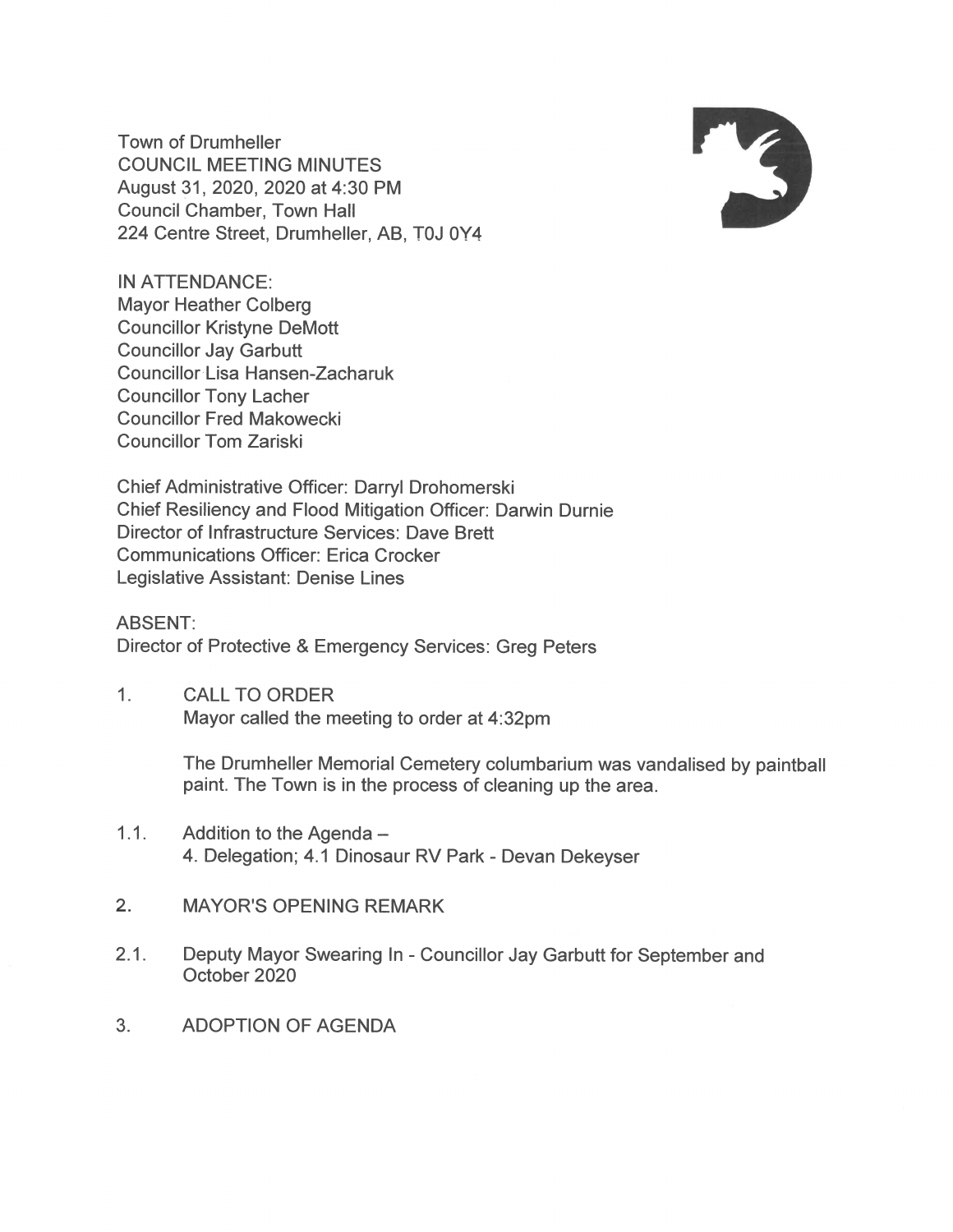**Town of Drumheller COUNCIL MEETING MINUTES** August 31, 2020, 2020 at 4:30 PM **Council Chamber, Town Hall** 224 Centre Street, Drumheller, AB, T0J 0Y4



**IN ATTENDANCE: Mayor Heather Colberg Councillor Kristyne DeMott Councillor Jay Garbutt Councillor Lisa Hansen-Zacharuk Councillor Tony Lacher Councillor Fred Makowecki** Councillor Tom Zariski

Chief Administrative Officer: Darryl Drohomerski Chief Resiliency and Flood Mitigation Officer: Darwin Durnie Director of Infrastructure Services: Dave Brett **Communications Officer: Erica Crocker** Legislative Assistant: Denise Lines

**ABSENT:** Director of Protective & Emergency Services: Greg Peters

 $1<sub>1</sub>$ **CALL TO ORDER** Mayor called the meeting to order at 4:32pm

> The Drumheller Memorial Cemetery columbarium was vandalised by paintball paint. The Town is in the process of cleaning up the area.

- $1.1.$ Addition to the Agenda -4. Delegation; 4.1 Dinosaur RV Park - Devan Dekeyser
- $2.$ **MAYOR'S OPENING REMARK**
- $2.1.$ Deputy Mayor Swearing In - Councillor Jay Garbutt for September and October 2020
- $3.$ **ADOPTION OF AGENDA**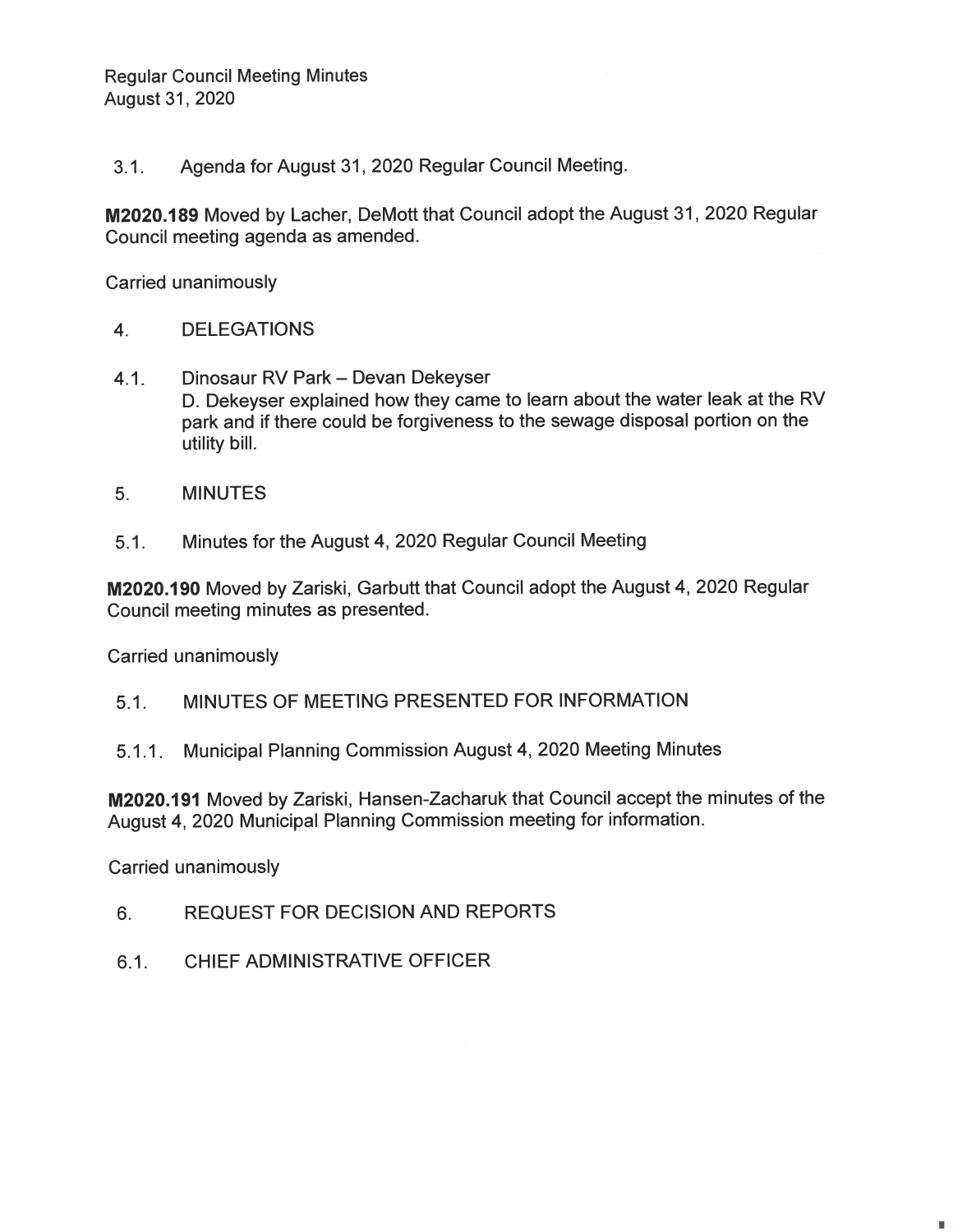Agenda for August 31, 2020 Regular Council Meeting.  $3.1.$ 

M2020.189 Moved by Lacher, DeMott that Council adopt the August 31, 2020 Regular Council meeting agenda as amended.

**Carried unanimously** 

- **DELEGATIONS**  $4.$
- Dinosaur RV Park Devan Dekeyser  $4.1.$ D. Dekeyser explained how they came to learn about the water leak at the RV park and if there could be forgiveness to the sewage disposal portion on the utility bill.
- $5<sub>1</sub>$ **MINUTES**
- Minutes for the August 4, 2020 Regular Council Meeting  $5.1.$

M2020.190 Moved by Zariski, Garbutt that Council adopt the August 4, 2020 Regular Council meeting minutes as presented.

Carried unanimously

- $5.1.$ MINUTES OF MEETING PRESENTED FOR INFORMATION
- Municipal Planning Commission August 4, 2020 Meeting Minutes  $5.1.1.$

M2020.191 Moved by Zariski, Hansen-Zacharuk that Council accept the minutes of the August 4, 2020 Municipal Planning Commission meeting for information.

Carried unanimously

- **REQUEST FOR DECISION AND REPORTS** 6.
- CHIFF ADMINISTRATIVE OFFICER  $6.1.$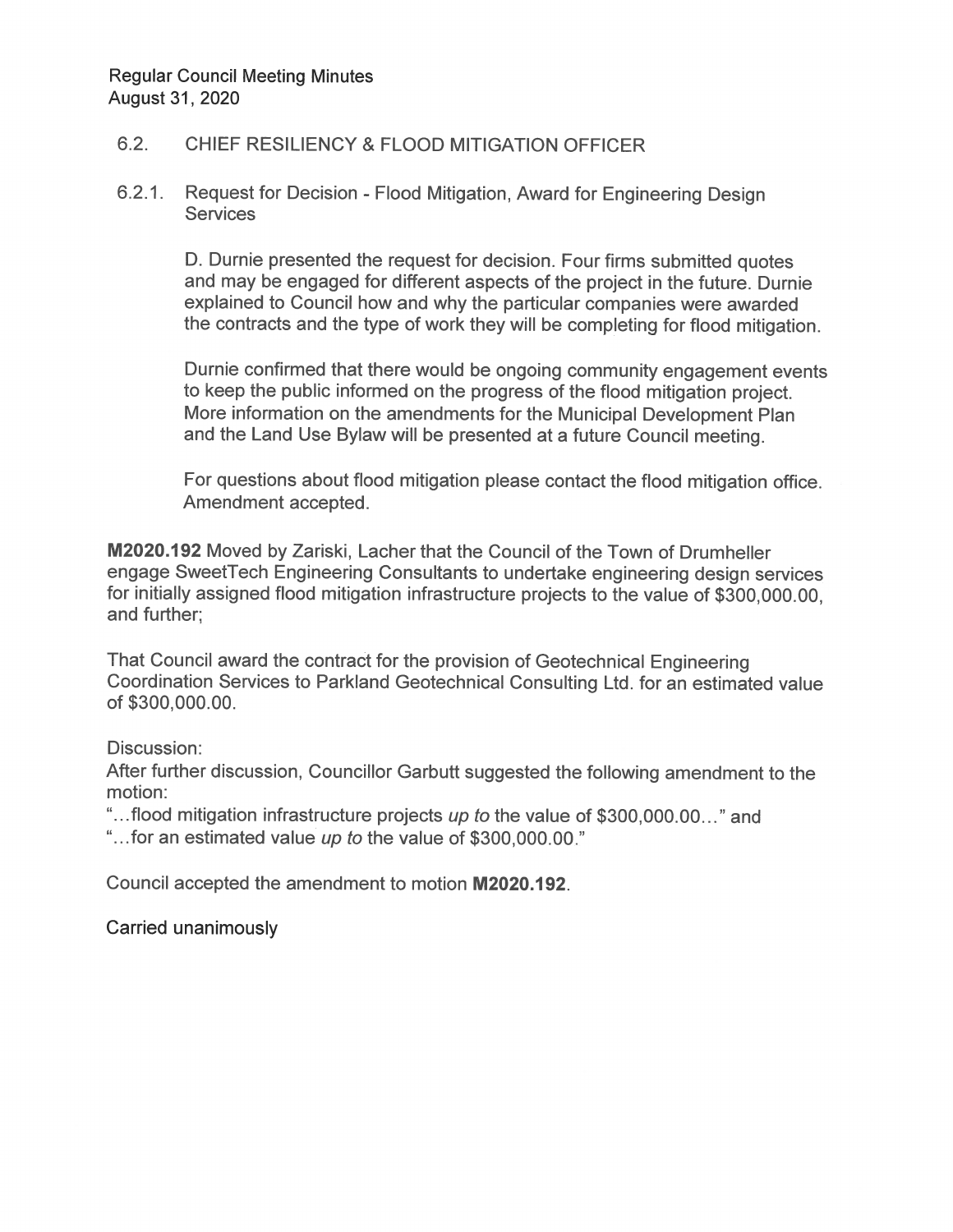## $6.2.$ **CHIEF RESILIENCY & FLOOD MITIGATION OFFICER**

## $6.2.1.$ Request for Decision - Flood Mitigation, Award for Engineering Design **Services**

D. Durnie presented the request for decision. Four firms submitted quotes and may be engaged for different aspects of the project in the future. Durnie explained to Council how and why the particular companies were awarded the contracts and the type of work they will be completing for flood mitigation.

Durnie confirmed that there would be ongoing community engagement events to keep the public informed on the progress of the flood mitigation project. More information on the amendments for the Municipal Development Plan and the Land Use Bylaw will be presented at a future Council meeting.

For questions about flood mitigation please contact the flood mitigation office. Amendment accepted.

M2020.192 Moved by Zariski, Lacher that the Council of the Town of Drumheller engage SweetTech Engineering Consultants to undertake engineering design services for initially assigned flood mitigation infrastructure projects to the value of \$300,000.00, and further;

That Council award the contract for the provision of Geotechnical Engineering Coordination Services to Parkland Geotechnical Consulting Ltd. for an estimated value of \$300,000.00.

Discussion:

After further discussion, Councillor Garbutt suggested the following amendment to the motion:

"...flood mitigation infrastructure projects up to the value of \$300,000.00..." and

"...for an estimated value up to the value of \$300,000.00."

Council accepted the amendment to motion M2020.192.

Carried unanimously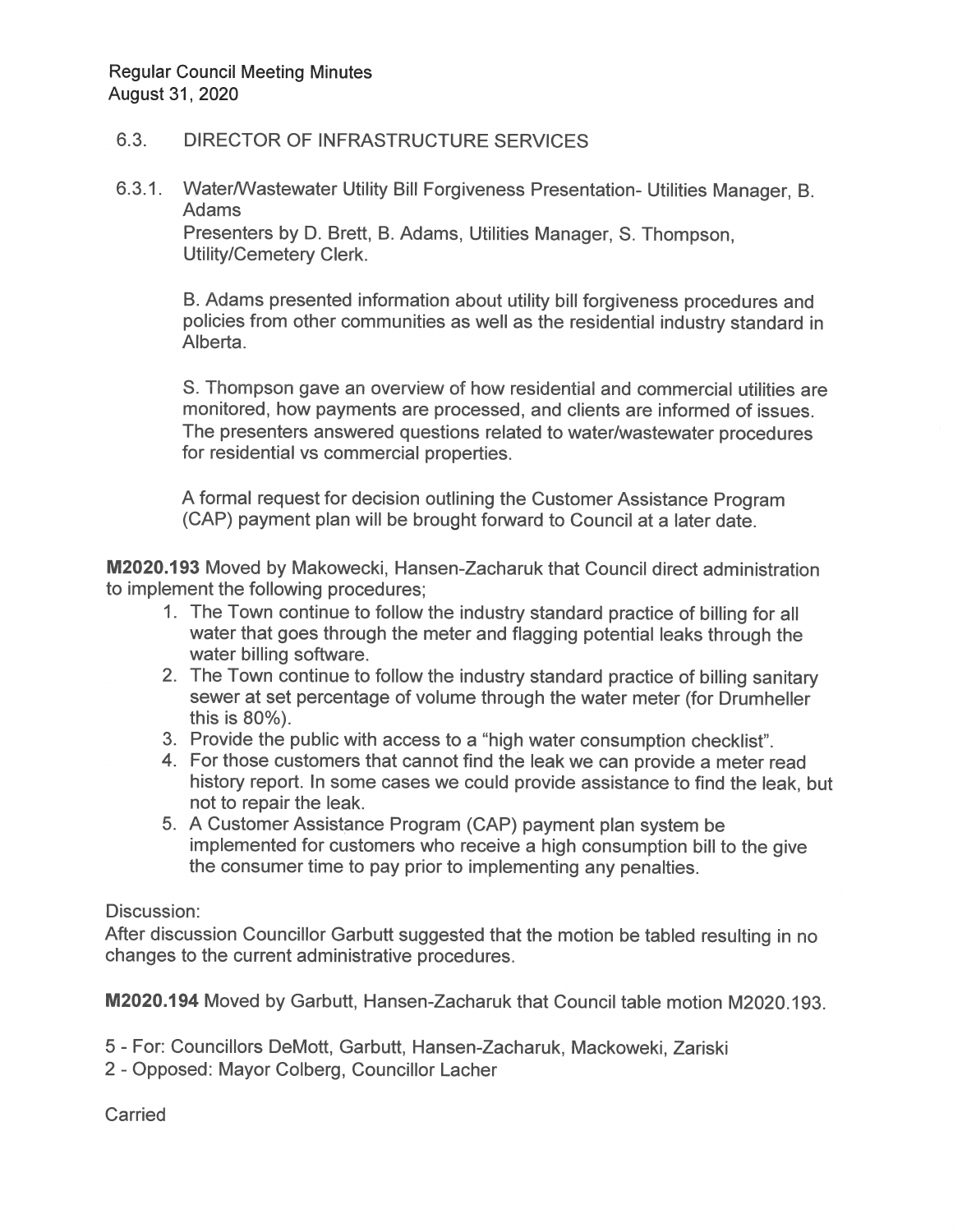## 6.3. DIRECTOR OF INFRASTRUCTURE SERVICES

6.3.1. Water/Wastewater Utility Bill Forgiveness Presentation- Utilities Manager, B. Adams

Presenters by D. Brett, B. Adams, Utilities Manager, S. Thompson, Utility/Cemetery Clerk.

B. Adams presented information about utility bill forgiveness procedures and policies from other communities as well as the residential industry standard in Alberta.

8. Thompson gave an overview of how residential and commercial utiities are monitored, how payments are processed, and clients are informed of issues. The presenters answered questions related to water/wastewater procedures for residential vs commercial properties.

A formal request for decision outlining the Customer Assistance Program (CAP) payment plan will be brought forward to Council at a later date.

M2020.193 Moved by Makowecki, Hansen-Zacharuk that Council direct administration to implement the following procedures;

- 1. The Town continue to follow the industry standard practice of billing forall water that goes through the meter and flagging potential leaks through the water billing software.
- . The Town continue to follow the industry standard practice of billing sanitary sewer at set percentage of volume through the water meter (for Drumheller this is 80%).
- 3. Provide the public with access to a "high water consumption checklist".
- 4. For those customers that cannot find the leak we can provide a meter read history report. In some cases we could provide assistance to find the leak, but not to repair the leak.
- 5. A Customer Assistance Program (CAP) payment plan system be implemented for customers who receive a high consumption bill to the give the consumer time to pay prior to implementing any penalties.

## Discussion:

After discussion Councillor Garbutt suggested that the motion be tabled resulting in no changes to the current administrative procedures.

M2020.194 Moved by Garbutt, Hansen-Zacharuk that Council table motion M2020.193.

- 5 For: Councillors DeMott, Garbutt, Hansen-Zacharuk, Mackoweki, Zariski
- 2 Opposed: Mayor Colberg, Councillor Lacher

**Carried**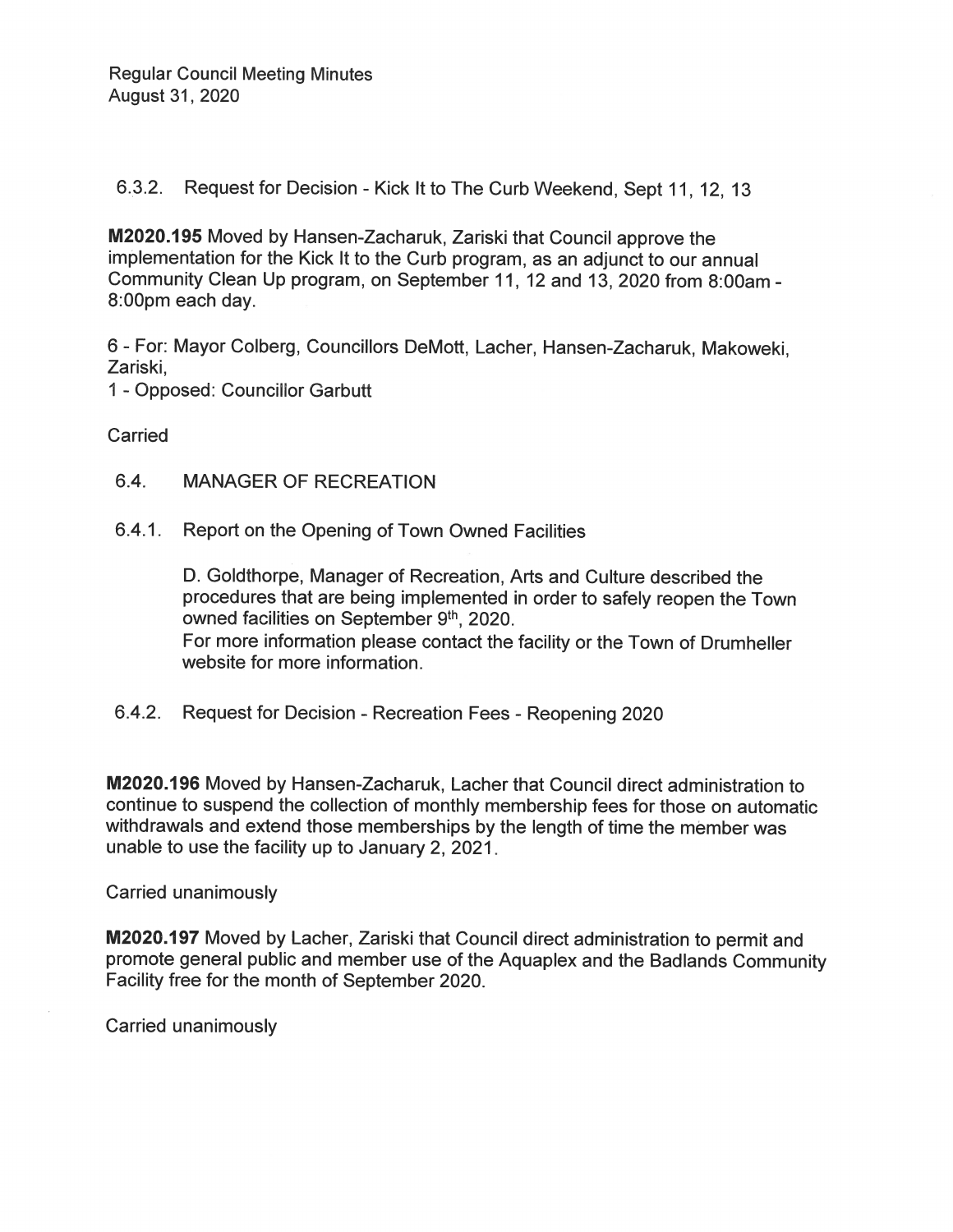6.3.2. Request for Decision - Kick It to The Curb Weekend, Sept 11, 12, 13

M2020.195 Moved by Hansen-Zacharuk, Zariski that Council approve the implementation for the Kick It to the Curb program, as an adjunct to our annual Community Clean Up program, on September 11, 12 and 13, 2020 from 8:00am -8:00pm each day.

6 - For: Mayor Colberg, Councillors DeMott, Lacher, Hansen-Zacharuk, Makoweki, Zariski,

1 - Opposed: Councillor Garbutt

Carried

- $6.4.$ **MANAGER OF RECREATION**
- 6.4.1. Report on the Opening of Town Owned Facilities

D. Goldthorpe, Manager of Recreation, Arts and Culture described the procedures that are being implemented in order to safely reopen the Town owned facilities on September 9th, 2020. For more information please contact the facility or the Town of Drumheller website for more information.

6.4.2. Request for Decision - Recreation Fees - Reopening 2020

M2020.196 Moved by Hansen-Zacharuk, Lacher that Council direct administration to continue to suspend the collection of monthly membership fees for those on automatic withdrawals and extend those memberships by the length of time the member was unable to use the facility up to January 2, 2021.

Carried unanimously

M2020.197 Moved by Lacher, Zariski that Council direct administration to permit and promote general public and member use of the Aquaplex and the Badlands Community Facility free for the month of September 2020.

Carried unanimously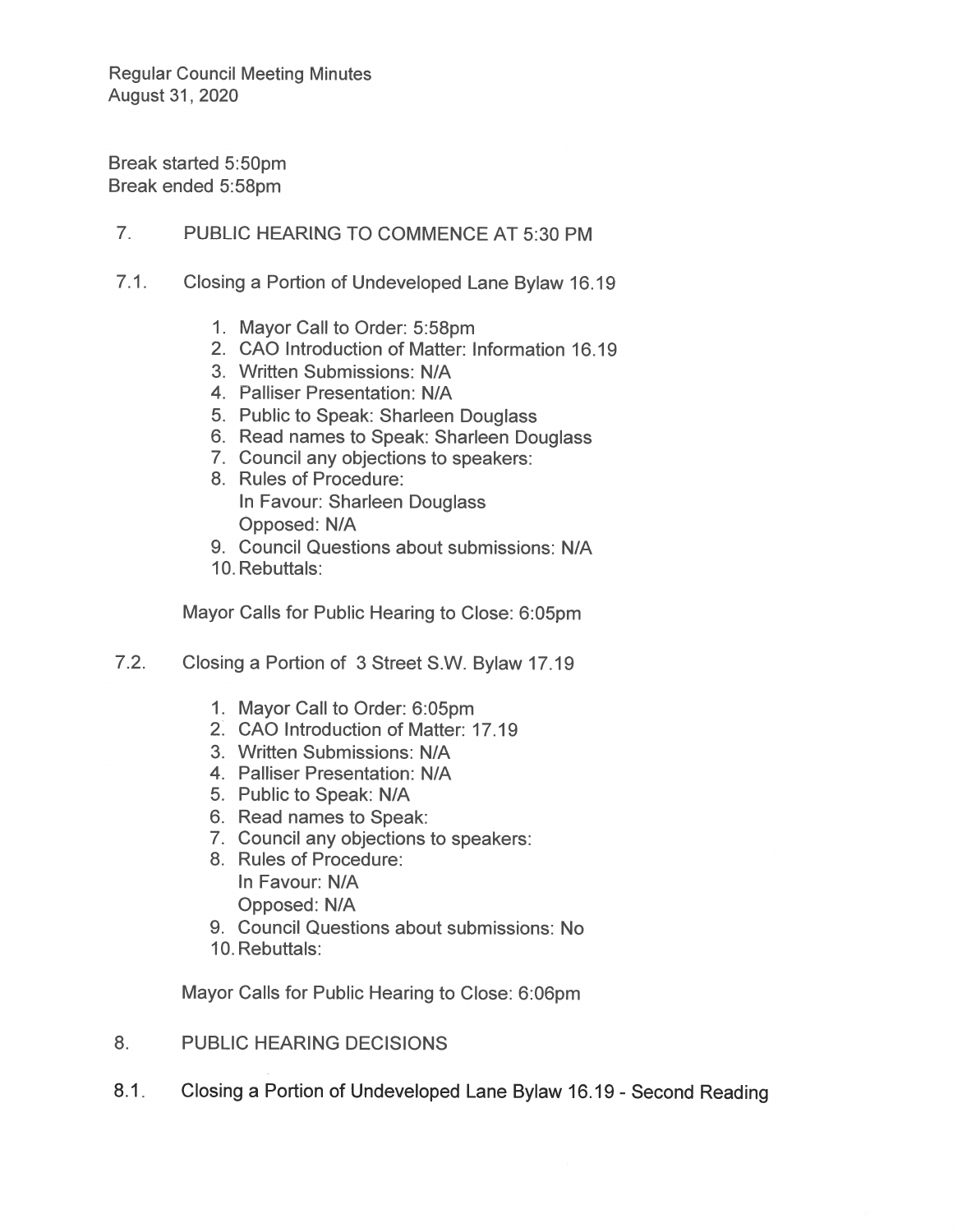**Regular Council Meeting Minutes** August 31, 2020

Break started 5:50pm Break ended 5:58pm

 $7<sub>1</sub>$ PUBLIC HEARING TO COMMENCE AT 5:30 PM

- $7.1.$ Closing a Portion of Undeveloped Lane Bylaw 16.19
	- 1. Mayor Call to Order: 5:58pm
	- 2. CAO Introduction of Matter: Information 16.19
	- 3. Written Submissions: N/A
	- 4. Palliser Presentation: N/A
	- 5. Public to Speak: Sharleen Douglass
	- 6. Read names to Speak: Sharleen Douglass
	- 7. Council any objections to speakers:
	- 8. Rules of Procedure: In Favour: Sharleen Douglass Opposed: N/A
	- 9. Council Questions about submissions: N/A
	- 10. Rebuttals:

Mayor Calls for Public Hearing to Close: 6:05pm

- $7.2.$ Closing a Portion of 3 Street S.W. Bylaw 17.19
	- 1. Mayor Call to Order: 6:05pm
	- 2. CAO Introduction of Matter: 17.19
	- 3. Written Submissions: N/A
	- 4. Palliser Presentation: N/A
	- 5. Public to Speak: N/A
	- 6. Read names to Speak:
	- 7. Council any objections to speakers:
	- 8. Rules of Procedure: In Favour: N/A Opposed: N/A
	- 9. Council Questions about submissions: No
	- 10. Rebuttals:

Mayor Calls for Public Hearing to Close: 6:06pm

- 8. **PUBLIC HEARING DECISIONS**
- Closing a Portion of Undeveloped Lane Bylaw 16.19 Second Reading  $8.1.$